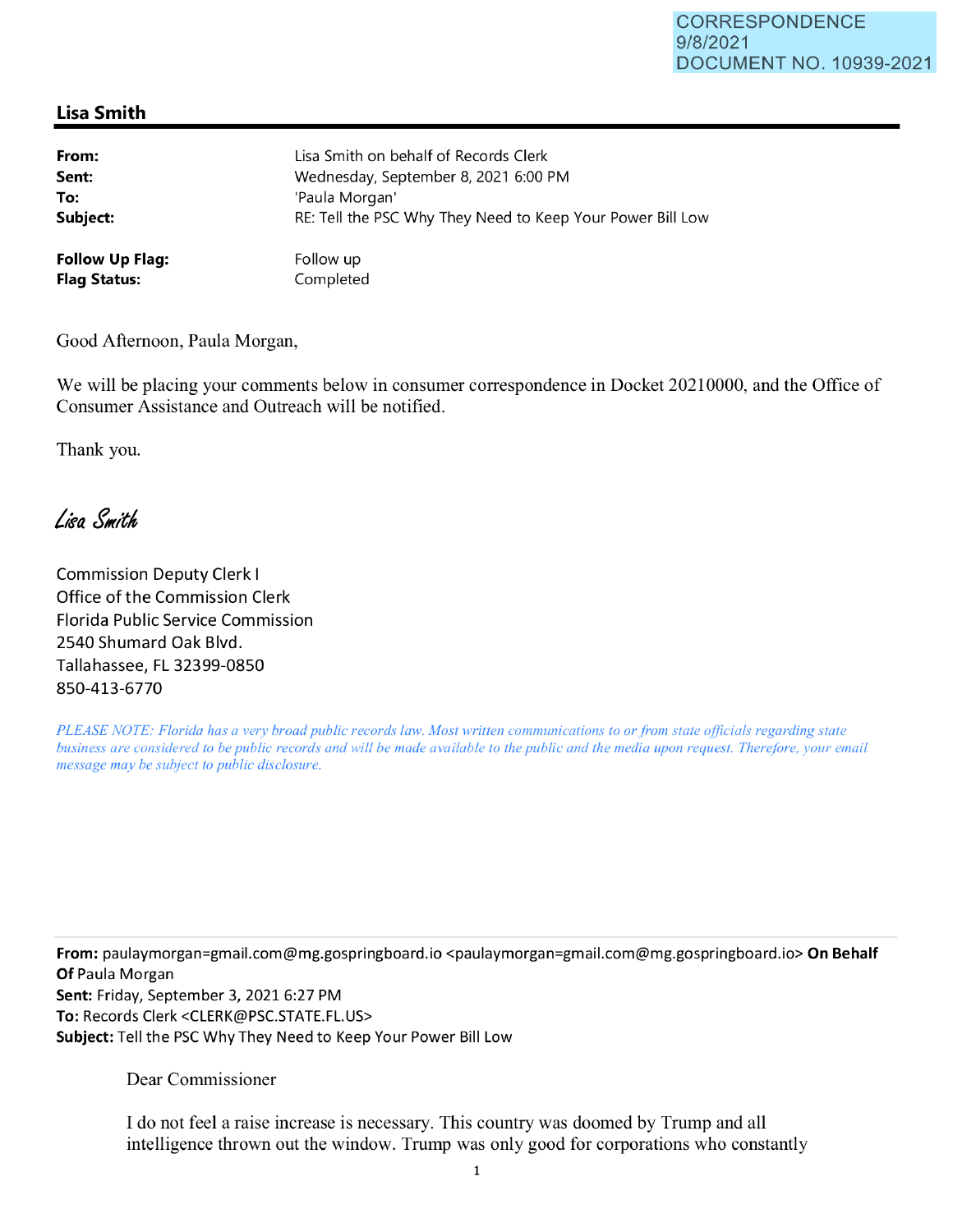## **Lisa Smith**

| From:                  | Lisa Smith on behalf of Records Clerk                      |
|------------------------|------------------------------------------------------------|
| Sent:                  | Wednesday, September 8, 2021 6:00 PM                       |
| To:                    | 'Paula Morgan'                                             |
| Subject:               | RE: Tell the PSC Why They Need to Keep Your Power Bill Low |
| <b>Follow Up Flag:</b> | Follow up                                                  |
| <b>Flag Status:</b>    | Completed                                                  |

Good Afternoon, Paula Morgan,

We will be placing your comments below in consumer correspondence in Docket 20210000, and the Office of Consumer Assistance and Outreach will be notified.

Thank you.

Lisa Smith

Commission Deputy Clerk I Office of the Commission Clerk Florida Public Service Commission 2540 Shumard Oak Blvd. Tallahassee, FL 32399-0850 850-413-6770

*PLEASE NOTE: Florida has a very broad public records law. Most written communications to or from state officials regarding state business are considered to be public records and will be made available to the public and the media upon request. Therefore, your email message may be subject to public disclosure.* 

**From:** paulaymorgan=gmail.com@mg.gospringboard.io <paulaymorgan=gmail.com@mg.gospringboard.io> **On Behalf Of** Paula Morgan **Sent:** Friday, September 3, 2021 6:27 PM **To:** Records Clerk <CLERK@PSC.STATE.FL.US> **Subject:** Tell the PSC Why They Need to Keep Your Power Bill Low

Dear Commissioner

I do not feel a raise increase is necessary. This country was doomed by Trump and all intelligence thrown out the window. Trump was only good for corporations who constantly